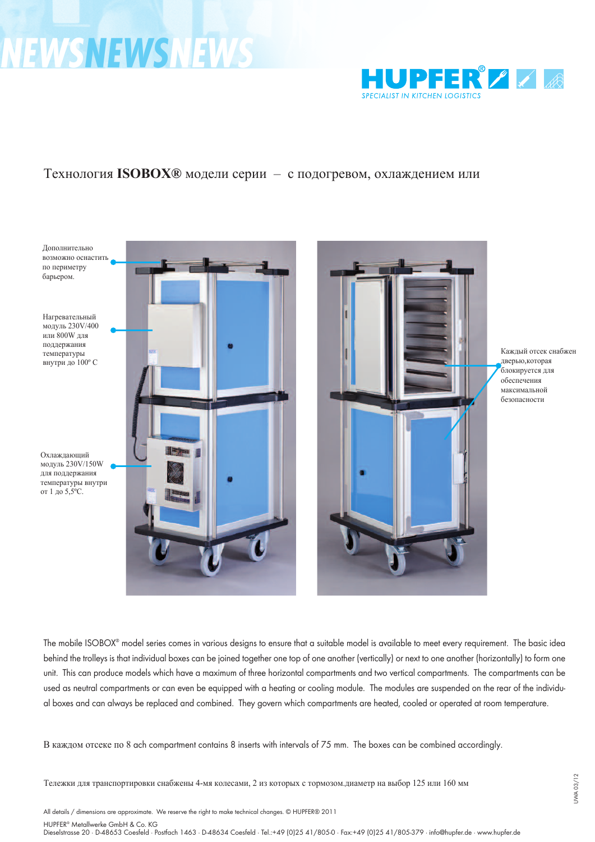## **NEWSNEWSNEWS**



## Технология **ISOBOX®** модели серии – с подогревом, охлаждением или



Мобильная тележка ISOBOX $^{\circledR}$  поставляется в различных версиях, что дает возможность выбрать необходимую модель под нужды предприятия. Основная идея этого вида тележек состоит в том, что отдельные блоки могут быть по разному составлены, либо в вертикальную конструкцию (один над другим), либо в горизонтальную (один рядом с другим). Причем блок может быть использован в качестве нейтрального, а также оснащен как нагревательным модулем, так и охлаждающим. Модули подвешиваются на заднюю стенку, легко меняются, комбинируются в зависимости от назначения. По модулю определяется какой бокс с подогревом, какой с охлаждением или нейтральный.

В каждом отсеке по 8 пар цельнотянутых направляющих, расстояние между ними 75 мм. Есть объединенная версия.

Тележки для транспортировки снабжены 4-мя колесами, 2 из которых с тормозом.диаметр на выбор 125 или 160 мм

All details / dimensions are approximate. We reserve the right to make technical changes. © HUPFER® 2011

HUPFER® Metallwerke GmbH & Co. KG

Dieselstrasse 20 · D-48653 Coesfeld · Postfach 1463 · D-48634 Coesfeld · Tel.:+49 (0)25 41/805-0 · Fax:+49 (0)25 41/805-379 · info@hupfer.de · www.hupfer.de